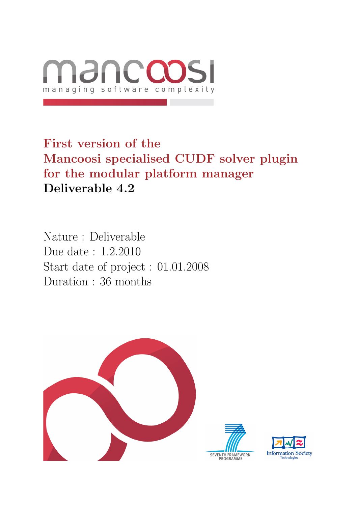

First version of the Mancoosi specialised CUDF solver plugin for the modular platform manager Deliverable 4.2

Nature : Deliverable Due date : 1.2.2010 Start date of project : 01.01.2008 Duration : 36 months



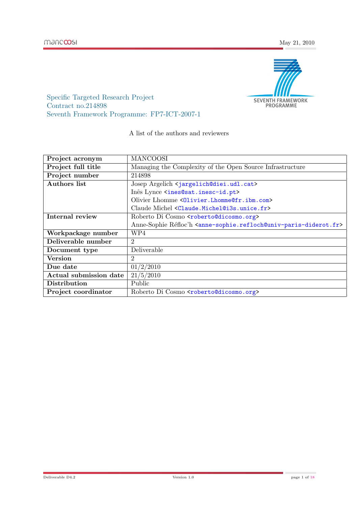

Specific Targeted Research Project Contract no.214898 Seventh Framework Programme: FP7-ICT-2007-1

A list of the authors and reviewers

| Project acronym        | <b>MANCOOSI</b>                                                                                              |
|------------------------|--------------------------------------------------------------------------------------------------------------|
| Project full title     | Managing the Complexity of the Open Source Infrastructure                                                    |
| Project number         | 214898                                                                                                       |
| <b>Authors</b> list    | Josep Argelich <jargelich@diei.udl.cat></jargelich@diei.udl.cat>                                             |
|                        | Inês Lynce <ines@sat.inesc-id.pt></ines@sat.inesc-id.pt>                                                     |
|                        | Olivier Lhomme <01ivier.Lhomme@fr.ibm.com>                                                                   |
|                        | Claude Michel <claude.michel@i3s.unice.fr></claude.michel@i3s.unice.fr>                                      |
| Internal review        | Roberto Di Cosmo <roberto@dicosmo.org></roberto@dicosmo.org>                                                 |
|                        | Anne-Sophie Réfloc'h <anne-sophie.refloch@univ-paris-diderot.fr></anne-sophie.refloch@univ-paris-diderot.fr> |
| Workpackage number     | WP4                                                                                                          |
| Deliverable number     | $\overline{2}$                                                                                               |
| Document type          | Deliverable                                                                                                  |
| <b>Version</b>         | 2                                                                                                            |
| Due date               | 01/2/2010                                                                                                    |
| Actual submission date | 21/5/2010                                                                                                    |
| Distribution           | Public                                                                                                       |
| Project coordinator    | Roberto Di Cosmo <roberto@dicosmo.org></roberto@dicosmo.org>                                                 |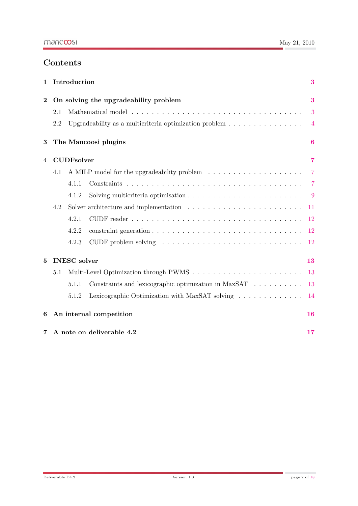# **Contents**

| $\mathbf{1}$             | Introduction                                                                                  |                                       |                                                                                              | 3              |
|--------------------------|-----------------------------------------------------------------------------------------------|---------------------------------------|----------------------------------------------------------------------------------------------|----------------|
| $\overline{2}$           |                                                                                               | On solving the upgradeability problem |                                                                                              | 3              |
|                          | 2.1                                                                                           |                                       |                                                                                              | 3              |
|                          | 2.2<br>Upgradeability as a multicriteria optimization problem $\dots \dots \dots \dots \dots$ |                                       |                                                                                              |                |
| 3                        |                                                                                               | The Mancoosi plugins                  |                                                                                              |                |
| <b>CUDFsolver</b><br>4   |                                                                                               |                                       |                                                                                              | $\overline{7}$ |
|                          | 4.1                                                                                           |                                       |                                                                                              | -7             |
|                          |                                                                                               | 4.1.1                                 |                                                                                              | $\overline{7}$ |
|                          |                                                                                               | 4.1.2                                 | Solving multicriteria optimisation $\ldots \ldots \ldots \ldots \ldots \ldots \ldots \ldots$ | -9             |
|                          | 4.2                                                                                           |                                       |                                                                                              | 11             |
|                          |                                                                                               | 4.2.1                                 |                                                                                              | 12             |
|                          |                                                                                               | 4.2.2                                 |                                                                                              | 12             |
|                          |                                                                                               | 4.2.3                                 |                                                                                              | 12             |
| <b>INESC</b> solver<br>5 |                                                                                               |                                       | 13                                                                                           |                |
|                          | 5.1                                                                                           |                                       |                                                                                              | 13             |
|                          |                                                                                               | 5.1.1                                 | Constraints and lexicographic optimization in MaxSAT                                         | 13             |
|                          |                                                                                               | 5.1.2                                 | Lexicographic Optimization with MaxSAT solving                                               | 14             |
| 6                        | An internal competition                                                                       |                                       | 16                                                                                           |                |
| 7                        | A note on deliverable 4.2                                                                     |                                       |                                                                                              | 17             |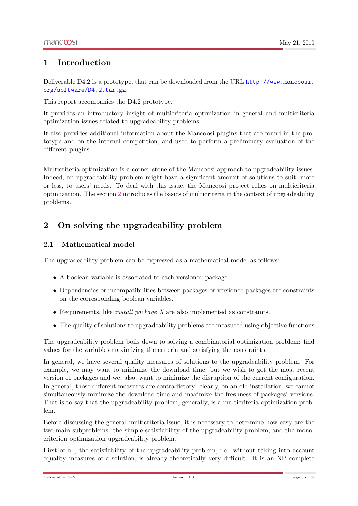## <span id="page-3-0"></span>1 Introduction

Deliverable D4.2 is a prototype, that can be downloaded from the URL [http://www.mancoosi.](http://www.mancoosi.org/software/D4.2.tar.gz) [org/software/D4.2.tar.gz](http://www.mancoosi.org/software/D4.2.tar.gz).

This report accompanies the D4.2 prototype.

It provides an introductory insight of multicriteria optimization in general and multicriteria optimization issues related to upgradeability problems.

It also provides additional information about the Mancoosi plugins that are found in the prototype and on the internal competition, and used to perform a preliminary evaluation of the different plugins.

Multicriteria optimization is a corner stone of the Mancoosi approach to upgradeability issues. Indeed, an upgradeability problem might have a significant amount of solutions to suit, more or less, to users' needs. To deal with this issue, the Mancoosi project relies on multicriteria optimization. The section [2](#page-3-1) introduces the basics of multicriteria in the context of upgradeability problems.

# <span id="page-3-1"></span>2 On solving the upgradeability problem

### <span id="page-3-2"></span>2.1 Mathematical model

The upgradeability problem can be expressed as a mathematical model as follows:

- A boolean variable is associated to each versioned package.
- Dependencies or incompatibilities between packages or versioned packages are constraints on the corresponding boolean variables.
- Requirements, like *install package X* are also implemented as constraints.
- The quality of solutions to upgradeability problems are measured using objective functions

The upgradeability problem boils down to solving a combinatorial optimization problem: find values for the variables maximizing the criteria and satisfying the constraints.

In general, we have several quality measures of solutions to the upgradeability problem. For example, we may want to minimize the download time, but we wish to get the most recent version of packages and we, also, want to minimize the disruption of the current configuration. In general, those different measures are contradictory: clearly, on an old installation, we cannot simultaneously minimize the download time and maximize the freshness of packages' versions. That is to say that the upgradeability problem, generally, is a multicriteria optimization problem.

Before discussing the general multicriteria issue, it is necessary to determine how easy are the two main subproblems: the simple satisfiability of the upgradeability problem, and the monocriterion optimization upgradeability problem.

First of all, the satisfiability of the upgradeability problem, i.e. without taking into account equality measures of a solution, is already theoretically very difficult. It is an NP complete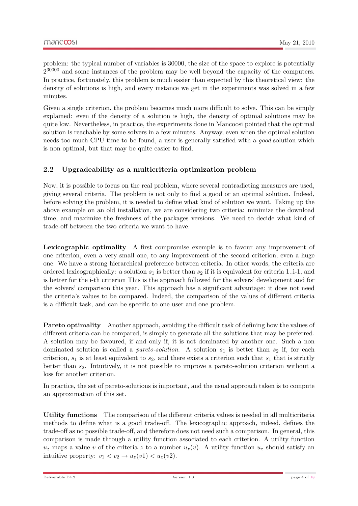problem: the typical number of variables is 30000, the size of the space to explore is potentially  $2^{30000}$  and some instances of the problem may be well beyond the capacity of the computers. In practice, fortunately, this problem is much easier than expected by this theoretical view: the density of solutions is high, and every instance we get in the experiments was solved in a few minutes.

Given a single criterion, the problem becomes much more difficult to solve. This can be simply explained: even if the density of a solution is high, the density of optimal solutions may be quite low. Nevertheless, in practice, the experiments done in Mancoosi pointed that the optimal solution is reachable by some solvers in a few minutes. Anyway, even when the optimal solution needs too much CPU time to be found, a user is generally satisfied with a good solution which is non optimal, but that may be quite easier to find.

### <span id="page-4-0"></span>2.2 Upgradeability as a multicriteria optimization problem

Now, it is possible to focus on the real problem, where several contradicting measures are used, giving several criteria. The problem is not only to find a good or an optimal solution. Indeed, before solving the problem, it is needed to define what kind of solution we want. Taking up the above example on an old installation, we are considering two criteria: minimize the download time, and maximize the freshness of the packages versions. We need to decide what kind of trade-off between the two criteria we want to have.

Lexicographic optimality A first compromise exemple is to favour any improvement of one criterion, even a very small one, to any improvement of the second criterion, even a huge one. We have a strong hierarchical preference between criteria. In other words, the criteria are ordered lexicographically: a solution  $s_1$  is better than  $s_2$  if it is equivalent for criteria 1..i-1, and is better for the i-th criterion This is the approach followed for the solvers' development and for the solvers' comparison this year. This approach has a significant advantage: it does not need the criteria's values to be compared. Indeed, the comparison of the values of different criteria is a difficult task, and can be specific to one user and one problem.

Pareto optimality Another approach, avoiding the difficult task of defining how the values of different criteria can be compared, is simply to generate all the solutions that may be preferred. A solution may be favoured, if and only if, it is not dominated by another one. Such a non dominated solution is called a *pareto-solution*. A solution  $s_1$  is better than  $s_2$  if, for each criterion,  $s_1$  is at least equivalent to  $s_2$ , and there exists a criterion such that  $s_1$  that is strictly better than  $s_2$ . Intuitively, it is not possible to improve a pareto-solution criterion without a loss for another criterion.

In practice, the set of pareto-solutions is important, and the usual approach taken is to compute an approximation of this set.

Utility functions The comparison of the different criteria values is needed in all multicriteria methods to define what is a good trade-off. The lexicographic approach, indeed, defines the trade-off as no possible trade-off, and therefore does not need such a comparison. In general, this comparison is made through a utility function associated to each criterion. A utility function  $u_z$  maps a value v of the criteria z to a number  $u_z(v)$ . A utility function  $u_z$  should satisfy an intuitive property:  $v_1 < v_2 \rightarrow u_z(v1) < u_z(v2)$ .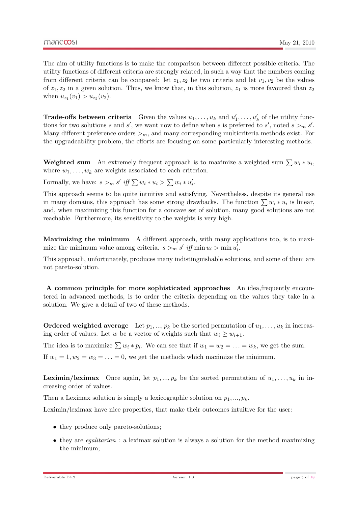The aim of utility functions is to make the comparison between different possible criteria. The utility functions of different criteria are strongly related, in such a way that the numbers coming from different criteria can be compared: let  $z_1, z_2$  be two criteria and let  $v_1, v_2$  be the values of  $z_1, z_2$  in a given solution. Thus, we know that, in this solution,  $z_1$  is more favoured than  $z_2$ when  $u_{z_1}(v_1) > u_{z_2}(v_2)$ .

**Trade-offs between criteria** Given the values  $u_1, \ldots, u_k$  and  $u'_1, \ldots, u'_k$  of the utility functions for two solutions s and s', we want now to define when s is preferred to s', noted  $s >_{m} s'$ . Many different preference orders  $\geq_m$ , and many corresponding multicriteria methods exist. For the upgradeability problem, the efforts are focusing on some particularly interesting methods.

Weighted sum An extremely frequent approach is to maximize a weighted sum  $\sum w_i * u_i$ , where  $w_1, \ldots, w_k$  are weights associated to each criterion.

Formally, we have:  $s >_m s'$  iff  $\sum w_i * u_i > \sum w_i * u'_i$ .

This approach seems to be quite intuitive and satisfying. Nevertheless, despite its general use in many domains, this approach has some strong drawbacks. The function  $\sum w_i * u_i$  is linear, and, when maximizing this function for a concave set of solution, many good solutions are not reachable. Furthermore, its sensitivity to the weights is very high.

Maximizing the minimum A different approach, with many applications too, is to maximize the minimum value among criteria.  $s >_m s'$  iff min  $u_i > \min u'_i$ .

This approach, unfortunately, produces many indistinguishable solutions, and some of them are not pareto-solution.

A common principle for more sophisticated approaches An idea,frequently encountered in advanced methods, is to order the criteria depending on the values they take in a solution. We give a detail of two of these methods.

**Ordered weighted average** Let  $p_1, ..., p_k$  be the sorted permutation of  $u_1, ..., u_k$  in increasing order of values. Let w be a vector of weights such that  $w_i \geq w_{i+1}$ .

The idea is to maximize  $\sum w_i * p_i$ . We can see that if  $w_1 = w_2 = \ldots = w_k$ , we get the sum.

If  $w_1 = 1, w_2 = w_3 = \ldots = 0$ , we get the methods which maximize the minimum.

**Leximin/leximax** Once again, let  $p_1, ..., p_k$  be the sorted permutation of  $u_1, ..., u_k$  in increasing order of values.

Then a Leximax solution is simply a lexicographic solution on  $p_1, ..., p_k$ .

Leximin/leximax have nice properties, that make their outcomes intuitive for the user:

- they produce only pareto-solutions;
- they are *eqalitarian* : a leximax solution is always a solution for the method maximizing the minimum;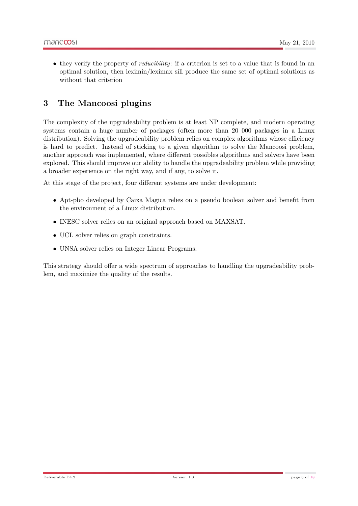• they verify the property of *reducibility*: if a criterion is set to a value that is found in an optimal solution, then leximin/leximax sill produce the same set of optimal solutions as without that criterion

## <span id="page-6-0"></span>3 The Mancoosi plugins

The complexity of the upgradeability problem is at least NP complete, and modern operating systems contain a huge number of packages (often more than 20 000 packages in a Linux distribution). Solving the upgradeability problem relies on complex algorithms whose efficiency is hard to predict. Instead of sticking to a given algorithm to solve the Mancoosi problem, another approach was implemented, where different possibles algorithms and solvers have been explored. This should improve our ability to handle the upgradeability problem while providing a broader experience on the right way, and if any, to solve it.

At this stage of the project, four different systems are under development:

- Apt-pbo developed by Caixa Magica relies on a pseudo boolean solver and benefit from the environment of a Linux distribution.
- INESC solver relies on an original approach based on MAXSAT.
- UCL solver relies on graph constraints.
- UNSA solver relies on Integer Linear Programs.

This strategy should offer a wide spectrum of approaches to handling the upgradeability problem, and maximize the quality of the results.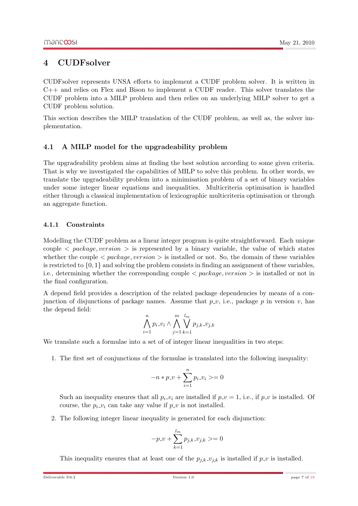## <span id="page-7-0"></span>4 CUDFsolver

CUDFsolver represents UNSA efforts to implement a CUDF problem solver. It is written in C++ and relies on Flex and Bison to implement a CUDF reader. This solver translates the CUDF problem into a MILP problem and then relies on an underlying MILP solver to get a CUDF problem solution.

This section describes the MILP translation of the CUDF problem, as well as, the solver implementation.

### <span id="page-7-1"></span>4.1 A MILP model for the upgradeability problem

The upgradeability problem aims at finding the best solution according to some given criteria. That is why we investigated the capabilities of MILP to solve this problem. In other words, we translate the upgradeability problem into a minimisation problem of a set of binary variables under some integer linear equations and inequalities. Multicriteria optimisation is handled either through a classical implementation of lexicographic multicriteria optimisation or through an aggregate function.

#### <span id="page-7-2"></span>4.1.1 Constraints

Modelling the CUDF problem as a linear integer program is quite straightforward. Each unique couple  $\langle$  package, version  $\rangle$  is represented by a binary variable, the value of which states whether the couple  $\langle$  package, version  $\rangle$  is installed or not. So, the domain of these variables is restricted to  $\{0, 1\}$  and solving the problem consists in finding an assignment of these variables, i.e., determining whether the corresponding couple  $\langle$  package, version  $\rangle$  is installed or not inthe final configuration.

A depend field provides a description of the related package dependencies by means of a conjunction of disjunctions of package names. Assume that  $p_{\nu}$ , i.e., package p in version v, has the depend field:

$$
\bigwedge_{i=1}^{n} p_i \lrcorner v_i \land \bigwedge_{j=1}^{m} \bigvee_{k=1}^{l_m} p_{j,k} \lrcorner v_{j,k}
$$

We translate such a formulae into a set of of integer linear inequalities in two steps:

1. The first set of conjunctions of the formulae is translated into the following inequality:

$$
-n*p_{\mathcal{N}} + \sum_{i=1}^{n} p_i \mathcal{N}_i >= 0
$$

Such an inequality ensures that all  $p_i \nu_i$  are installed if  $p \nu = 1$ , i.e., if  $p \nu$  is installed. Of course, the  $p_i \text{-} v_i$  can take any value if  $p \text{-} v$  is not installed.

2. The following integer linear inequality is generated for each disjunction:

$$
-p_-v + \sum_{k=1}^{l_m} p_{j,k} .v_{j,k} > = 0
$$

This inequality ensures that at least one of the  $p_{j,k} \text{--} v_{j,k}$  is installed if  $p \text{--} v$  is installed.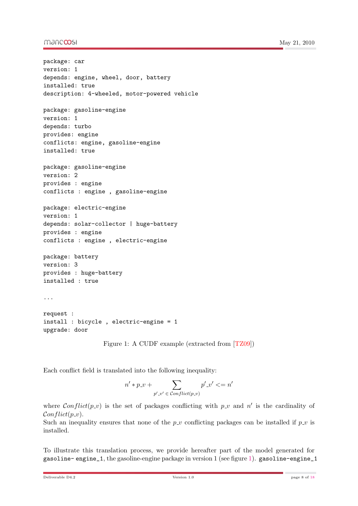#### mandoosi

```
package: car
version: 1
depends: engine, wheel, door, battery
installed: true
description: 4-wheeled, motor-powered vehicle
package: gasoline-engine
version: 1
depends: turbo
provides: engine
conflicts: engine, gasoline-engine
installed: true
package: gasoline-engine
version: 2
provides : engine
conflicts : engine , gasoline-engine
package: electric-engine
version: 1
depends: solar-collector | huge-battery
provides : engine
conflicts : engine , electric-engine
package: battery
version: 3
provides : huge-battery
installed : true
...
request :
install : bicycle , electric-engine = 1
upgrade: door
```
<span id="page-8-0"></span>Figure 1: A CUDF example (extracted from [\[TZ09\]](#page-18-1))

Each conflict field is translated into the following inequality:

$$
n'*p_-v + \sum_{p'-v'\;\in\;\mathit{Conflict}(p.v)}p'.v'<=n'
$$

where Conflict(p\_v) is the set of packages conflicting with p\_v and n' is the cardinality of  $Conflict(p_v)$ .

Such an inequality ensures that none of the  $p_{\mathcal{L}}v$  conflicting packages can be installed if  $p_{\mathcal{L}}v$  is installed.

To illustrate this translation process, we provide hereafter part of the model generated for gasoline-engine 1, the gasoline-engine package in version 1 (see figure [1\)](#page-8-0). gasoline-engine 1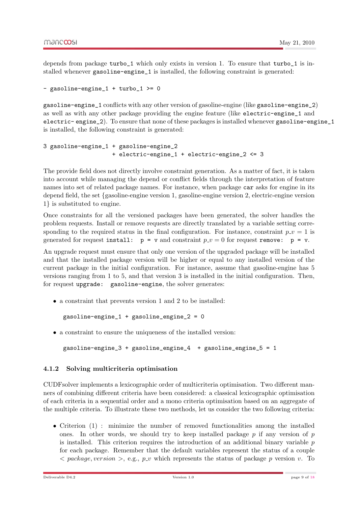depends from package turbo\_1 which only exists in version 1. To ensure that turbo\_1 is installed whenever gasoline-engine\_1 is installed, the following constraint is generated:

```
- gasoline-engine_1 + turbo_1 >= 0
```
gasoline-engine\_1 conflicts with any other version of gasoline-engine (like gasoline-engine\_2) as well as with any other package providing the engine feature (like electric-engine\_1 and electric- engine\_2). To ensure that none of these packages is installed whenever gasoline-engine\_1 is installed, the following constraint is generated:

```
3 gasoline-engine_1 + gasoline-engine_2
                    + electric-engine_1 + electric-engine_2 <= 3
```
The provide field does not directly involve constraint generation. As a matter of fact, it is taken into account while managing the depend or conflict fields through the interpretation of feature names into set of related package names. For instance, when package car asks for engine in its depend field, the set {gasoline-engine version 1, gasoline-engine version 2, electric-engine version 1} is substituted to engine.

Once constraints for all the versioned packages have been generated, the solver handles the problem requests. Install or remove requests are directly translated by a variable setting corresponding to the required status in the final configuration. For instance, constraint  $p_{\perp} v = 1$  is generated for request install:  $p = v$  and constraint  $p \cdot v = 0$  for request remove:  $p = v$ .

An upgrade request must ensure that only one version of the upgraded package will be installed and that the installed package version will be higher or equal to any installed version of the current package in the initial configuration. For instance, assume that gasoline-engine has 5 versions ranging from 1 to 5, and that version 3 is installed in the initial configuration. Then, for request upgrade: gasoline-engine, the solver generates:

• a constraint that prevents version 1 and 2 to be installed:

gasoline-engine\_1 + gasoline\_engine\_2 = 0

• a constraint to ensure the uniqueness of the installed version:

```
gasoline-engine_3 + gasoline_engine_4 + gasoline_engine_5 = 1
```
#### <span id="page-9-0"></span>4.1.2 Solving multicriteria optimisation

CUDFsolver implements a lexicographic order of multicriteria optimisation. Two different manners of combining different criteria have been considered: a classical lexicographic optimisation of each criteria in a sequential order and a mono criteria optimisation based on an aggregate of the multiple criteria. To illustrate these two methods, let us consider the two following criteria:

• Criterion (1) : minimize the number of removed functionalities among the installed ones. In other words, we should try to keep installed package  $p$  if any version of  $p$ is installed. This criterion requires the introduction of an additional binary variable  $p$ for each package. Remember that the default variables represent the status of a couple  $\langle$  package, version  $\rangle$ , e.g., p\_v which represents the status of package p version v. To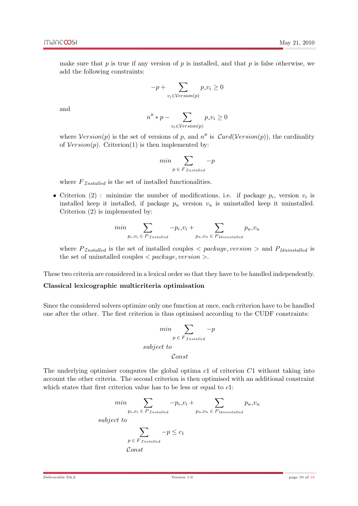make sure that  $p$  is true if any version of  $p$  is installed, and that  $p$  is false otherwise, we add the following constraints:

$$
-p + \sum_{v_i \in \mathcal{V}ersion(p)} p_{v_i} \ge 0
$$

and

$$
n'' * p - \sum_{v_i \in Version(p)} p_{v_i} \ge 0
$$

where  $Version(p)$  is the set of versions of p, and n'' is  $Card(Version(p))$ , the cardinality of  $Version(p)$ . Criterion(1) is then implemented by:

$$
min \sum_{p \in F_{\mathcal{I}nstalled}} -p
$$

where  $F_{\text{Insteadled}}$  is the set of installed functionalities.

• Criterion (2): minimize the number of modifications, i.e. if package  $p_i$ , version  $v_i$  is installed keep it installed, if package  $p_u$  version  $v_u$  is uninstalled keep it uninstalled. Criterion (2) is implemented by:

$$
min \sum_{p_i \cup i_i \in P_{\mathcal{I} nstalled}} -p_i \cup i_i + \sum_{p_u \cup v_u \in P_{\mathcal{U} ninstalled}} p_u \cup v_u
$$

where  $P_{\text{Insteaded}}$  is the set of installed couples  $\langle$  package, version  $\rangle$  and  $P_{\text{Uninstalled}}$  is the set of uninstalled couples  $\langle$  package, version  $\rangle$ .

These two criteria are considered in a lexical order so that they have to be handled independently.

#### Classical lexicographic multicriteria optimisation

Since the considered solvers optimize only one function at once, each criterion have to be handled one after the other. The first criterion is thus optimised according to the CUDF constraints:

$$
\min \sum_{p \in F_{\text{Trstalled}}} -p
$$
\n
$$
subject \ to
$$
\n
$$
Const
$$

The underlying optimiser computes the global optima c1 of criterion C1 without taking into account the other criteria. The second criterion is then optimised with an additional constraint which states that first criterion value has to be less or equal to  $c1$ :

$$
\min \sum_{p_i \cdot v_i \in P_{\text{Insteadled}}} -p_i \cdot v_i + \sum_{p_u \cdot v_u \in P_{\text{Uninstead}}} p_u \cdot v_u
$$
\n
$$
\text{subject to}
$$
\n
$$
\sum_{p \in F_{\text{Installed}}} -p \le c_1
$$
\n
$$
\text{Const}
$$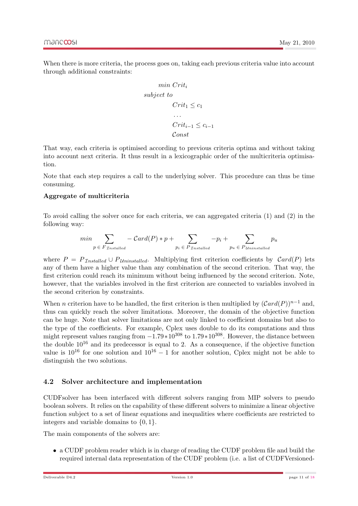When there is more criteria, the process goes on, taking each previous criteria value into account through additional constraints:

$$
min\;Crit_i
$$
\n
$$
subject\; to
$$
\n
$$
Crit_1 \le c_1
$$
\n
$$
...
$$
\n
$$
Crit_{i-1} \le c_{i-1}
$$
\n
$$
Const
$$

That way, each criteria is optimised according to previous criteria optima and without taking into account next criteria. It thus result in a lexicographic order of the multicriteria optimisation.

Note that each step requires a call to the underlying solver. This procedure can thus be time consuming.

#### Aggregate of multicriteria

To avoid calling the solver once for each criteria, we can aggregated criteria (1) and (2) in the following way:

$$
min \sum_{p \in F_{\text{Insteadled}}} -\text{Card}(P) * p + \sum_{p_i \in P_{\text{Insteadled}}} -p_i + \sum_{p_u \in P_{\text{Uninstead}}} p_u
$$

where  $P = P_{\text{Insteadled}} \cup P_{\text{Uninstead}}$ . Multiplying first criterion coefficients by  $\text{Card}(P)$  lets any of them have a higher value than any combination of the second criterion. That way, the first criterion could reach its minimum without being influenced by the second criterion. Note, however, that the variables involved in the first criterion are connected to variables involved in the second criterion by constraints.

When *n* criterion have to be handled, the first criterion is then multiplied by  $(Card(P))^{n-1}$  and, thus can quickly reach the solver limitations. Moreover, the domain of the objective function can be huge. Note that solver limitations are not only linked to coefficient domains but also to the type of the coefficients. For example, Cplex uses double to do its computations and thus might represent values ranging from  $-1.79*10^{308}$  to  $1.79*10^{308}$ . However, the distance between the double  $10^{16}$  and its predecessor is equal to 2. As a consequence, if the objective function value is  $10^{16}$  for one solution and  $10^{16} - 1$  for another solution, Cplex might not be able to distinguish the two solutions.

#### <span id="page-11-0"></span>4.2 Solver architecture and implementation

CUDFsolver has been interfaced with different solvers ranging from MIP solvers to pseudo boolean solvers. It relies on the capability of these different solvers to minimize a linear objective function subject to a set of linear equations and inequalities where coefficients are restricted to integers and variable domains to  $\{0, 1\}.$ 

The main components of the solvers are:

• a CUDF problem reader which is in charge of reading the CUDF problem file and build the required internal data representation of the CUDF problem (i.e. a list of CUDFVersioned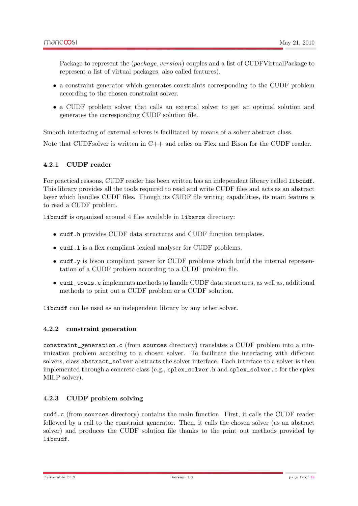Package to represent the *(package, version)* couples and a list of CUDFVirtualPackage to represent a list of virtual packages, also called features).

- a constraint generator which generates constraints corresponding to the CUDF problem according to the chosen constraint solver.
- a CUDF problem solver that calls an external solver to get an optimal solution and generates the corresponding CUDF solution file.

Smooth interfacing of external solvers is facilitated by means of a solver abstract class.

Note that CUDF solver is written in  $C++$  and relies on Flex and Bison for the CUDF reader.

#### <span id="page-12-0"></span>4.2.1 CUDF reader

For practical reasons, CUDF reader has been written has an independent library called libcudf. This library provides all the tools required to read and write CUDF files and acts as an abstract layer which handles CUDF files. Though its CUDF file writing capabilities, its main feature is to read a CUDF problem.

libcudf is organized around 4 files available in libsrcs directory:

- cudf.h provides CUDF data structures and CUDF function templates.
- cudf.l is a flex compliant lexical analyser for CUDF problems.
- cudf, y is bison compliant parser for CUDF problems which build the internal representation of a CUDF problem according to a CUDF problem file.
- cudf\_tools.c implements methods to handle CUDF data structures, as well as, additional methods to print out a CUDF problem or a CUDF solution.

libcudf can be used as an independent library by any other solver.

#### <span id="page-12-1"></span>4.2.2 constraint generation

constraint\_generation.c (from sources directory) translates a CUDF problem into a minimization problem according to a chosen solver. To facilitate the interfacing with different solvers, class abstract\_solver abstracts the solver interface. Each interface to a solver is then implemented through a concrete class (e.g., cplex\_solver.h and cplex\_solver.c for the cplex MILP solver).

#### <span id="page-12-2"></span>4.2.3 CUDF problem solving

cudf.c (from sources directory) contains the main function. First, it calls the CUDF reader followed by a call to the constraint generator. Then, it calls the chosen solver (as an abstract solver) and produces the CUDF solution file thanks to the print out methods provided by libcudf.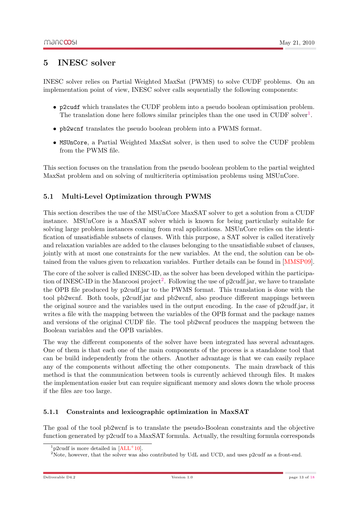### <span id="page-13-0"></span>5 INESC solver

INESC solver relies on Partial Weighted MaxSat (PWMS) to solve CUDF problems. On an implementation point of view, INESC solver calls sequentially the following components:

- p2cudf which translates the CUDF problem into a pseudo boolean optimisation problem. The translation done here follows similar principles than the one used in CUDF solver<sup>[1](#page-13-3)</sup>.
- pb2wcnf translates the pseudo boolean problem into a PWMS format.
- MSUnCore, a Partial Weighted MaxSat solver, is then used to solve the CUDF problem from the PWMS file.

This section focuses on the translation from the pseudo boolean problem to the partial weighted MaxSat problem and on solving of multicriteria optimisation problems using MSUnCore.

### <span id="page-13-1"></span>5.1 Multi-Level Optimization through PWMS

This section describes the use of the MSUnCore MaxSAT solver to get a solution from a CUDF instance. MSUnCore is a MaxSAT solver which is known for being particularly suitable for solving large problem instances coming from real applications. MSUnCore relies on the identification of unsatisfiable subsets of clauses. With this purpose, a SAT solver is called iteratively and relaxation variables are added to the clauses belonging to the unsatisfiable subset of clauses, jointly with at most one constraints for the new variables. At the end, the solution can be obtained from the values given to relaxation variables. Further details can be found in [\[MMSP09\]](#page-17-1).

The core of the solver is called INESC-ID, as the solver has been developed within the participa-tion of INESC-ID in the Mancoosi project<sup>[2](#page-13-4)</sup>. Following the use of p2cudf.jar, we have to translate the OPB file produced by p2cudf.jar to the PWMS format. This translation is done with the tool pb2wcnf. Both tools, p2cudf.jar and pb2wcnf, also produce different mappings between the original source and the variables used in the output encoding. In the case of p2cudf.jar, it writes a file with the mapping between the variables of the OPB format and the package names and versions of the original CUDF file. The tool pb2wcnf produces the mapping between the Boolean variables and the OPB variables.

The way the different components of the solver have been integrated has several advantages. One of them is that each one of the main components of the process is a standalone tool that can be build independently from the others. Another advantage is that we can easily replace any of the components without affecting the other components. The main drawback of this method is that the communication between tools is currently achieved through files. It makes the implementation easier but can require significant memory and slows down the whole process if the files are too large.

#### <span id="page-13-2"></span>5.1.1 Constraints and lexicographic optimization in MaxSAT

The goal of the tool pb2wcnf is to translate the pseudo-Boolean constraints and the objective function generated by p2cudf to a MaxSAT formula. Actually, the resulting formula corresponds

<span id="page-13-3"></span> $1$ <sub>p2</sub>cudf is more detailed in  $[ALL<sup>+</sup>10]$  $[ALL<sup>+</sup>10]$ .

<span id="page-13-4"></span><sup>&</sup>lt;sup>2</sup>Note, however, that the solver was also contributed by UdL and UCD, and uses p2cudf as a front-end.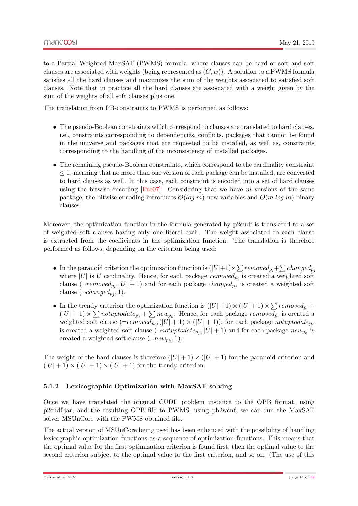to a Partial Weighted MaxSAT (PWMS) formula, where clauses can be hard or soft and soft clauses are associated with weights (being represented as  $(C, w)$ ). A solution to a PWMS formula satisfies all the hard clauses and maximizes the sum of the weights associated to satisfied soft clauses. Note that in practice all the hard clauses are associated with a weight given by the sum of the weights of all soft clauses plus one.

The translation from PB-constraints to PWMS is performed as follows:

- The pseudo-Boolean constraints which correspond to clauses are translated to hard clauses, i.e., constraints corresponding to dependencies, conflicts, packages that cannot be found in the universe and packages that are requested to be installed, as well as, constraints corresponding to the handling of the inconsistency of installed packages.
- The remaining pseudo-Boolean constraints, which correspond to the cardinality constraint  $\leq 1$ , meaning that no more than one version of each package can be installed, are converted to hard clauses as well. In this case, each constraint is encoded into a set of hard clauses using the bitwise encoding  $[Pre07]$ . Considering that we have m versions of the same package, the bitwise encoding introduces  $O(log m)$  new variables and  $O(m log m)$  binary clauses.

Moreover, the optimization function in the formula generated by p2cudf is translated to a set of weighted soft clauses having only one literal each. The weight associated to each clause is extracted from the coefficients in the optimization function. The translation is therefore performed as follows, depending on the criterion being used:

- In the paranoid criterion the optimization function is  $(|U|+1) \times \sum$  removed  $p_i + \sum change$ where |U| is U cardinality. Hence, for each package  $removed_{p_i}$  is created a weighted soft clause  $(\neg removed_{p_i}, |U| + 1)$  and for each package *changed<sub>p<sub>j</sub>*</sub> is created a weighted soft clause  $(\neg changed_{p_j}, 1)$ .
- In the trendy criterion the optimization function is  $(|U|+1) \times (|U|+1) \times \sum removed_{p_i} +$  $(|U|+1) \times \sum not up to date_{p_j} + \sum new_{p_k}$ . Hence, for each package  $removed_{p_i}$  is created a weighted soft clause  $(\neg removed_{p_i}, (|U| + 1) \times (|U| + 1))$ , for each package *notuptodate*<sub> $p_j$ </sub> is created a weighted soft clause  $(\neg not up to date_{p_j}, |U| + 1)$  and for each package  $new_{p_k}$  is created a weighted soft clause  $(\neg new_{p_k}, 1)$ .

The weight of the hard clauses is therefore  $(|U| + 1) \times (|U| + 1)$  for the paranoid criterion and  $(|U|+1) \times (|U|+1) \times (|U|+1)$  for the trendy criterion.

#### <span id="page-14-0"></span>5.1.2 Lexicographic Optimization with MaxSAT solving

Once we have translated the original CUDF problem instance to the OPB format, using p2cudf.jar, and the resulting OPB file to PWMS, using pb2wcnf, we can run the MaxSAT solver MSUnCore with the PWMS obtained file.

The actual version of MSUnCore being used has been enhanced with the possibility of handling lexicographic optimization functions as a sequence of optimization functions. This means that the optimal value for the first optimization criterion is found first, then the optimal value to the second criterion subject to the optimal value to the first criterion, and so on. (The use of this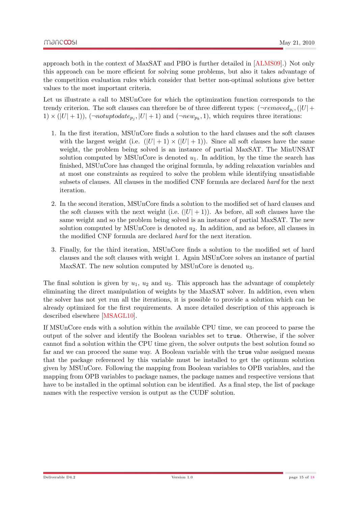approach both in the context of MaxSAT and PBO is further detailed in [\[ALMS09\]](#page-17-3).) Not only this approach can be more efficient for solving some problems, but also it takes advantage of the competition evaluation rules which consider that better non-optimal solutions give better values to the most important criteria.

Let us illustrate a call to MSUnCore for which the optimization function corresponds to the trendy criterion. The soft clauses can therefore be of three different types:  $(\neg removed_{p_i}, (|U| +$  $1) \times (|U| + 1)$ ,  $(\neg not up to date_{p_j}, |U| + 1)$  and  $(\neg new_{p_k}, 1)$ , which requires three iterations:

- 1. In the first iteration, MSUnCore finds a solution to the hard clauses and the soft clauses with the largest weight (i.e.  $(|U| + 1) \times (|U| + 1)$ ). Since all soft clauses have the same weight, the problem being solved is an instance of partial MaxSAT. The MinUNSAT solution computed by MSUnCore is denoted  $u_1$ . In addition, by the time the search has finished, MSUnCore has changed the original formula, by adding relaxation variables and at most one constraints as required to solve the problem while identifying unsatisfiable subsets of clauses. All clauses in the modified CNF formula are declared hard for the next iteration.
- 2. In the second iteration, MSUnCore finds a solution to the modified set of hard clauses and the soft clauses with the next weight (i.e.  $(|U| + 1)$ ). As before, all soft clauses have the same weight and so the problem being solved is an instance of partial MaxSAT. The new solution computed by MSUnCore is denoted  $u_2$ . In addition, and as before, all clauses in the modified CNF formula are declared hard for the next iteration.
- 3. Finally, for the third iteration, MSUnCore finds a solution to the modified set of hard clauses and the soft clauses with weight 1. Again MSUnCore solves an instance of partial MaxSAT. The new solution computed by MSUnCore is denoted  $u_3$ .

The final solution is given by  $u_1, u_2$  and  $u_3$ . This approach has the advantage of completely eliminating the direct manipulation of weights by the MaxSAT solver. In addition, even when the solver has not yet run all the iterations, it is possible to provide a solution which can be already optimized for the first requirements. A more detailed description of this approach is described elsewhere [\[MSAGL10\]](#page-18-3).

If MSUnCore ends with a solution within the available CPU time, we can proceed to parse the output of the solver and identify the Boolean variables set to true. Otherwise, if the solver cannot find a solution within the CPU time given, the solver outputs the best solution found so far and we can proceed the same way. A Boolean variable with the true value assigned means that the package referenced by this variable must be installed to get the optimum solution given by MSUnCore. Following the mapping from Boolean variables to OPB variables, and the mapping from OPB variables to package names, the package names and respective versions that have to be installed in the optimal solution can be identified. As a final step, the list of package names with the respective version is output as the CUDF solution.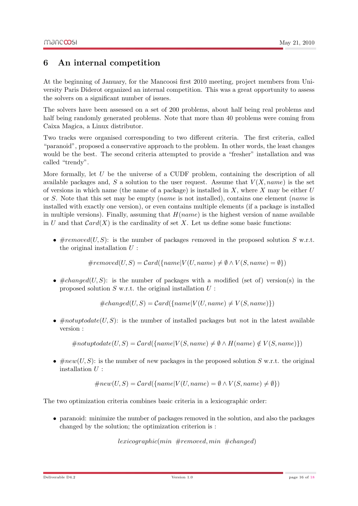## <span id="page-16-0"></span>6 An internal competition

At the beginning of January, for the Mancoosi first 2010 meeting, project members from University Paris Diderot organized an internal competition. This was a great opportunity to assess the solvers on a significant number of issues.

The solvers have been assessed on a set of 200 problems, about half being real problems and half being randomly generated problems. Note that more than 40 problems were coming from Caixa Magica, a Linux distributor.

Two tracks were organised corresponding to two different criteria. The first criteria, called "paranoid", proposed a conservative approach to the problem. In other words, the least changes would be the best. The second criteria attempted to provide a "fresher" installation and was called "trendy".

More formally, let  $U$  be the universe of a CUDF problem, containing the description of all available packages and, S a solution to the user request. Assume that  $V(X, name)$  is the set of versions in which name (the name of a package) is installed in X, where X may be either U or S. Note that this set may be empty (*name* is not installed), contains one element (*name* is installed with exactly one version), or even contains multiple elements (if a package is installed in multiple versions). Finally, assuming that  $H(name)$  is the highest version of name available in U and that  $Card(X)$  is the cardinality of set X. Let us define some basic functions:

•  $\#removed(U, S)$ : is the number of packages removed in the proposed solution S w.r.t. the original installation  $U$ :

 $\#removed(U, S) = Card(\{name|V(U, name) \neq \emptyset \land V(S, name) = \emptyset\})$ 

•  $\#changed(U, S)$ : is the number of packages with a modified (set of) version(s) in the proposed solution  $S$  w.r.t. the original installation  $U$ :

 $\#changed(U, S) = Card({\{name|V(U, name) \neq V(S, name)\})})$ 

•  $\#notuptodate(U, S)$ : is the number of installed packages but not in the latest available version :

 $\#not up to date(U, S) = Card({name}|V(S, name) \neq \emptyset \wedge H(name) \notin V(S, name))$ 

•  $\#new(U, S)$ : is the number of new packages in the proposed solution S w.r.t. the original installation  $U$ :

 $\#new(U, S) = Card({\{name|V(U, name) = \emptyset \land V(S, name) \neq \emptyset\}})$ 

The two optimization criteria combines basic criteria in a lexicographic order:

• paranoid: minimize the number of packages removed in the solution, and also the packages changed by the solution; the optimization criterion is :

lexicographic(min #removed, min #changed)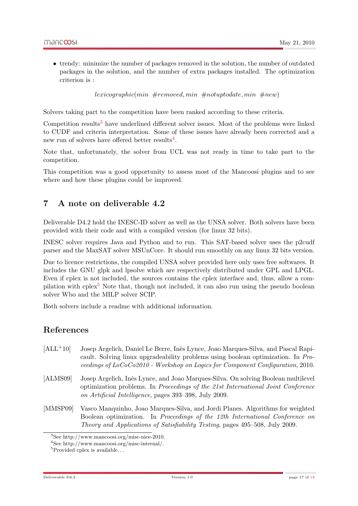• trendy: minimize the number of packages removed in the solution, the number of outdated packages in the solution, and the number of extra packages installed. The optimization criterion is :

 $lexicographic(min \#removed, min \#notuptodate, min \#new)$ 

Solvers taking part to the competition have been ranked according to these criteria.

Competition results<sup>[3](#page-17-4)</sup> have underlined different solver issues. Most of the problems were linked to CUDF and criteria interpretation. Some of these issues have already been corrected and a new run of solvers have offered better results<sup>[4](#page-17-5)</sup>.

Note that, unfortunately, the solver from UCL was not ready in time to take part to the competition.

This competition was a good opportunity to assess most of the Mancoosi plugins and to see where and how these plugins could be improved.

### <span id="page-17-0"></span>7 A note on deliverable 4.2

Deliverable D4.2 hold the INESC-ID solver as well as the UNSA solver. Both solvers have been provided with their code and with a compiled version (for linux 32 bits).

INESC solver requires Java and Python and to run. This SAT-based solver uses the p2cudf parser and the MaxSAT solver MSUnCore. It should run smoothly on any linux 32 bits version.

Due to licence restrictions, the compiled UNSA solver provided here only uses free softwares. It includes the GNU glpk and lpsolve which are respectively distributed under GPL and LPGL. Even if cplex is not included, the sources contains the cplex interface and, thus, allow a com-pilation with cplex<sup>[5](#page-17-6)</sup> Note that, though not included, it can also run using the pseudo boolean solver Wbo and the MILP solver SCIP.

Both solvers include a readme with additional information.

### References

- <span id="page-17-2"></span>[ALL<sup>+</sup>10] Josep Argelich, Daniel Le Berre, Inês Lynce, Joao Marques-Silva, and Pascal Rapicault. Solving linux upgradeability problems using boolean optimization. In Proceedings of LoCoCo2010 - Workshop on Logics for Component Configuration, 2010.
- <span id="page-17-3"></span>[ALMS09] Josep Argelich, Inês Lynce, and Joao Marques-Silva. On solving Boolean multilevel optimization problems. In Proceedings of the 21st International Joint Conference on Artificial Intelligence, pages 393–398, July 2009.
- <span id="page-17-1"></span>[MMSP09] Vasco Manquinho, Joao Marques-Silva, and Jordi Planes. Algorithms for weighted Boolean optimization. In Proceedings of the 12th International Conference on Theory and Applications of Satisfiability Testing, pages 495–508, July 2009.

<span id="page-17-4"></span><sup>3</sup>See http://www.mancoosi.org/misc-nice-2010.

<span id="page-17-5"></span><sup>4</sup>See http://www.mancoosi.org/misc-internal/.

<span id="page-17-6"></span> ${}^{5}$ Provided cplex is available...